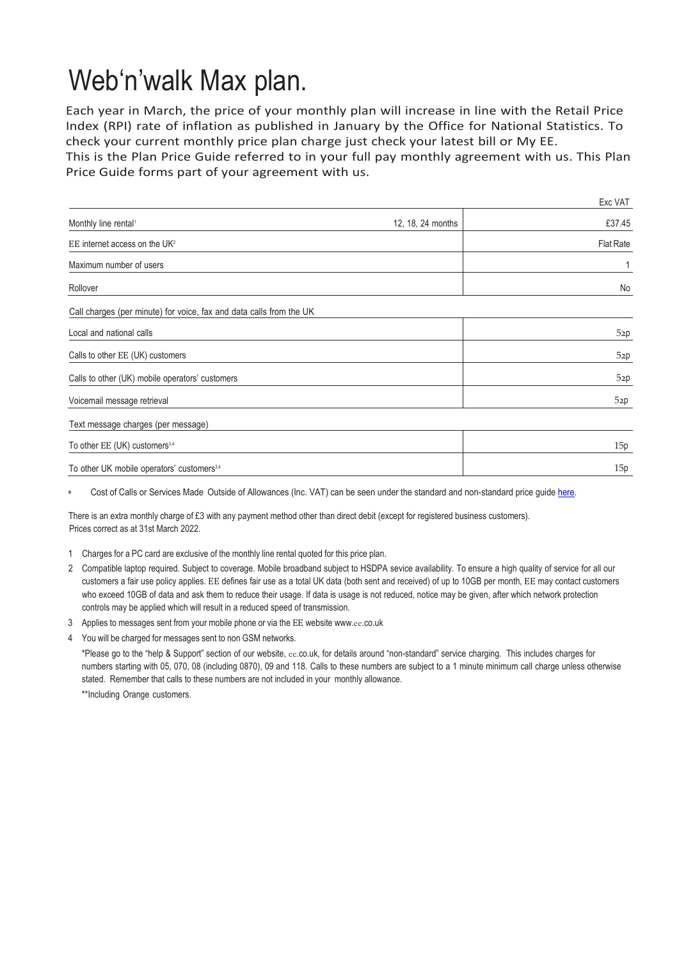## Web'n'walk Max plan.

Each year in March, the price of your monthly plan will increase in line with the Retail Price Index (RPI) rate of inflation as published in January by the Office for National Statistics. To check your current monthly price plan charge just check your latest bill or My EE.

This is the Plan Price Guide referred to in your full pay monthly agreement with us. This Plan Price Guide forms part of your agreement with us.

|                                                                     |                   | Exc VAT   |
|---------------------------------------------------------------------|-------------------|-----------|
| Monthly line rental <sup>1</sup>                                    | 12, 18, 24 months | £37.45    |
| EE internet access on the UK <sup>2</sup>                           |                   | Flat Rate |
| Maximum number of users                                             |                   |           |
| Rollover                                                            |                   | No        |
| Call charges (per minute) for voice, fax and data calls from the UK |                   |           |
| Local and national calls                                            |                   | 52p       |
| Calls to other EE (UK) customers                                    |                   | 52p       |
| Calls to other (UK) mobile operators' customers                     |                   | 52p       |
| Voicemail message retrieval                                         |                   | 52p       |
| Text message charges (per message)                                  |                   |           |
| To other EE (UK) customers <sup>3,4</sup>                           |                   | 15p       |
|                                                                     |                   |           |

To other UK mobile operators' customers<sup>3,4</sup> 15p

Cost of Calls or Services Made Outside of Allowances (Inc. VAT) can be seen under the standard and non-standard price quid[e here.](https://ee.co.uk/help/help-new/price-plans/legacy-brand/pay-monthly-price-plans)

There is an extra monthly charge of £3 with any payment method other than direct debit (except for registered business customers). Prices correct as at 31st March 2022.

- 1 Charges for a PC card are exclusive of the monthly line rental quoted for this price plan.
- 2 Compatible laptop required. Subject to coverage. Mobile broadband subject to HSDPA sevice availability. To ensure a high quality of service for all our customers a fair use policy applies. EE defines fair use as a total UK data (both sent and received) of up to 10GB per month, EE may contact customers who exceed 10GB of data and ask them to reduce their usage. If data is usage is not reduced, notice may be given, after which network protection controls may be applied which will result in a reduced speed of transmission.
- 3 Applies to messages sent from your mobile phone or via the EE website www.ee[.co.uk](http://www.ee.co.uk/)
- 4 You will be charged for messages sent to non GSM networks.

\*Please go to the "help & Support" section of our website, ee.co.uk, for details around "non-standard" service charging. This includes charges for numbers starting with 05, 070, 08 (including 0870), 09 and 118. Calls to these numbers are subject to a 1 minute minimum call charge unless otherwise stated. Remember that calls to these numbers are not included in your monthly allowance.

\*\*Including Orange customers.